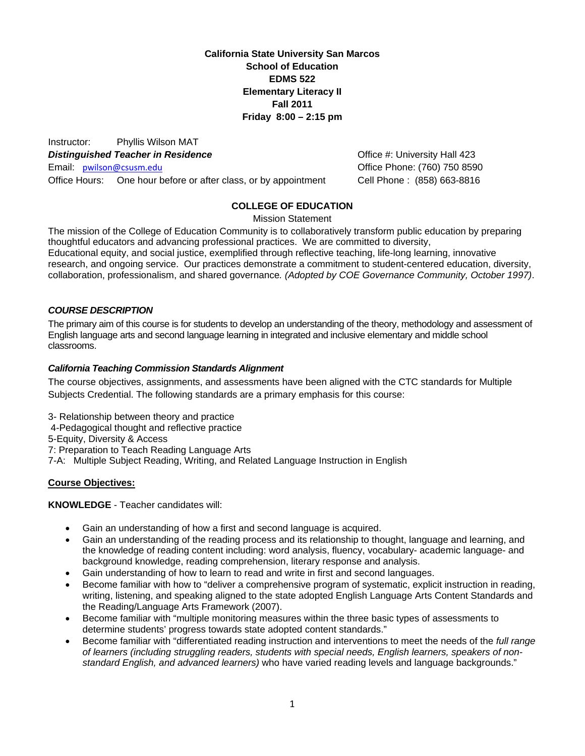**California State University San Marcos School of Education EDMS 522 Elementary Literacy II Fall 2011 Friday 8:00 – 2:15 pm**

 Email: pwilson@csusm.edu Office Phone: (760) 750 8590 Instructor: Phyllis Wilson MAT **Distinguished Teacher in Residence Communist Example 20 and Teacher in Residence Contract Communist Communist Example 20 and A** Distributed A 23 Office Hours: One hour before or after class, or by appointment Cell Phone : (858) 663-8816

# **COLLEGE OF EDUCATION**

Mission Statement

The mission of the College of Education Community is to collaboratively transform public education by preparing thoughtful educators and advancing professional practices. We are committed to diversity, Educational equity, and social justice, exemplified through reflective teaching, life-long learning, innovative research, and ongoing service. Our practices demonstrate a commitment to student-centered education, diversity, collaboration, professionalism, and shared governance*. (Adopted by COE Governance Community, October 1997)*.

## *COURSE DESCRIPTION*

The primary aim of this course is for students to develop an understanding of the theory, methodology and assessment of English language arts and second language learning in integrated and inclusive elementary and middle school classrooms.

### *California Teaching Commission Standards Alignment*

The course objectives, assignments, and assessments have been aligned with the CTC standards for Multiple Subjects Credential. The following standards are a primary emphasis for this course:

- 3- Relationship between theory and practice
- 4-Pedagogical thought and reflective practice

5-Equity, Diversity & Access

7: Preparation to Teach Reading Language Arts

7-A: Multiple Subject Reading, Writing, and Related Language Instruction in English

## **Course Objectives:**

**KNOWLEDGE** - Teacher candidates will:

- Gain an understanding of how a first and second language is acquired.
- Gain an understanding of the reading process and its relationship to thought, language and learning, and the knowledge of reading content including: word analysis, fluency, vocabulary- academic language- and background knowledge, reading comprehension, literary response and analysis.
- Gain understanding of how to learn to read and write in first and second languages.
- Become familiar with how to "deliver a comprehensive program of systematic, explicit instruction in reading, writing, listening, and speaking aligned to the state adopted English Language Arts Content Standards and the Reading/Language Arts Framework (2007).
- Become familiar with "multiple monitoring measures within the three basic types of assessments to determine students' progress towards state adopted content standards."
- Become familiar with "differentiated reading instruction and interventions to meet the needs of the *full range of learners (including struggling readers, students with special needs, English learners, speakers of nonstandard English, and advanced learners)* who have varied reading levels and language backgrounds."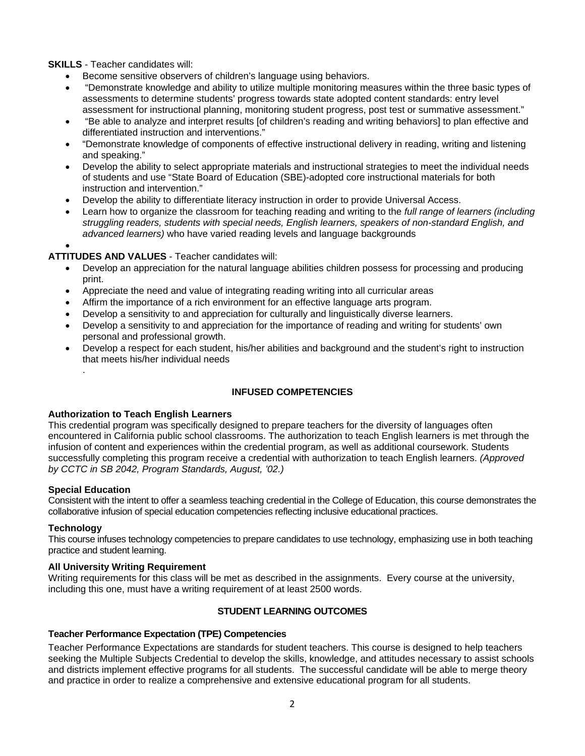**SKILLS** - Teacher candidates will:

- Become sensitive observers of children's language using behaviors.
- "Demonstrate knowledge and ability to utilize multiple monitoring measures within the three basic types of assessments to determine students' progress towards state adopted content standards: entry level assessment for instructional planning, monitoring student progress, post test or summative assessment."
- "Be able to analyze and interpret results [of children's reading and writing behaviors] to plan effective and differentiated instruction and interventions."
- "Demonstrate knowledge of components of effective instructional delivery in reading, writing and listening and speaking."
- Develop the ability to select appropriate materials and instructional strategies to meet the individual needs of students and use "State Board of Education (SBE)-adopted core instructional materials for both instruction and intervention."
- Develop the ability to differentiate literacy instruction in order to provide Universal Access.
- Learn how to organize the classroom for teaching reading and writing to the *full range of learners (including struggling readers, students with special needs, English learners, speakers of non-standard English, and advanced learners)* who have varied reading levels and language backgrounds

 $\bullet$ 

## **ATTITUDES AND VALUES** - Teacher candidates will:

- Develop an appreciation for the natural language abilities children possess for processing and producing print.
- Appreciate the need and value of integrating reading writing into all curricular areas
- Affirm the importance of a rich environment for an effective language arts program.
- Develop a sensitivity to and appreciation for culturally and linguistically diverse learners.
- Develop a sensitivity to and appreciation for the importance of reading and writing for students' own personal and professional growth.
- Develop a respect for each student, his/her abilities and background and the student's right to instruction that meets his/her individual needs

## **INFUSED COMPETENCIES**

#### **Authorization to Teach English Learners**

This credential program was specifically designed to prepare teachers for the diversity of languages often encountered in California public school classrooms. The authorization to teach English learners is met through the infusion of content and experiences within the credential program, as well as additional coursework. Students successfully completing this program receive a credential with authorization to teach English learners. *(Approved by CCTC in SB 2042, Program Standards, August, '02.)* 

#### **Special Education**

.

Consistent with the intent to offer a seamless teaching credential in the College of Education, this course demonstrates the collaborative infusion of special education competencies reflecting inclusive educational practices.

#### **Technology**

This course infuses technology competencies to prepare candidates to use technology, emphasizing use in both teaching practice and student learning.

#### **All University Writing Requirement**

Writing requirements for this class will be met as described in the assignments. Every course at the university, including this one, must have a writing requirement of at least 2500 words.

## **STUDENT LEARNING OUTCOMES**

#### **Teacher Performance Expectation (TPE) Competencies**

Teacher Performance Expectations are standards for student teachers. This course is designed to help teachers seeking the Multiple Subjects Credential to develop the skills, knowledge, and attitudes necessary to assist schools and districts implement effective programs for all students. The successful candidate will be able to merge theory and practice in order to realize a comprehensive and extensive educational program for all students.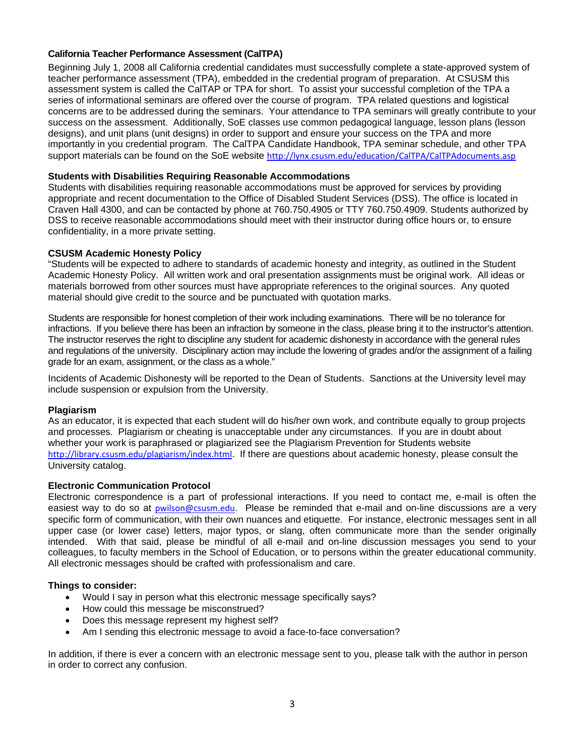## **California Teacher Performance Assessment (CalTPA)**

Beginning July 1, 2008 all California credential candidates must successfully complete a state-approved system of teacher performance assessment (TPA), embedded in the credential program of preparation. At CSUSM this assessment system is called the CalTAP or TPA for short. To assist your successful completion of the TPA a series of informational seminars are offered over the course of program. TPA related questions and logistical concerns are to be addressed during the seminars. Your attendance to TPA seminars will greatly contribute to your success on the assessment. Additionally, SoE classes use common pedagogical language, lesson plans (lesson designs), and unit plans (unit designs) in order to support and ensure your success on the TPA and more importantly in you credential program. The CalTPA Candidate Handbook, TPA seminar schedule, and other TPA support materials can be found on the SoE website http://lynx.csusm.edu/education/CalTPA/CalTPAdocuments.asp

## **Students with Disabilities Requiring Reasonable Accommodations**

Students with disabilities requiring reasonable accommodations must be approved for services by providing appropriate and recent documentation to the Office of Disabled Student Services (DSS). The office is located in Craven Hall 4300, and can be contacted by phone at 760.750.4905 or TTY 760.750.4909. Students authorized by DSS to receive reasonable accommodations should meet with their instructor during office hours or, to ensure confidentiality, in a more private setting.

#### **CSUSM Academic Honesty Policy**

"Students will be expected to adhere to standards of academic honesty and integrity, as outlined in the Student Academic Honesty Policy. All written work and oral presentation assignments must be original work. All ideas or materials borrowed from other sources must have appropriate references to the original sources. Any quoted material should give credit to the source and be punctuated with quotation marks.

Students are responsible for honest completion of their work including examinations. There will be no tolerance for infractions. If you believe there has been an infraction by someone in the class, please bring it to the instructor's attention. The instructor reserves the right to discipline any student for academic dishonesty in accordance with the general rules and regulations of the university. Disciplinary action may include the lowering of grades and/or the assignment of a failing grade for an exam, assignment, or the class as a whole."

Incidents of Academic Dishonesty will be reported to the Dean of Students. Sanctions at the University level may include suspension or expulsion from the University.

#### **Plagiarism**

As an educator, it is expected that each student will do his/her own work, and contribute equally to group projects and processes. Plagiarism or cheating is unacceptable under any circumstances. If you are in doubt about whether your work is paraphrased or plagiarized see the Plagiarism Prevention for Students website http://library.csusm.edu/plagiarism/index.html. If there are questions about academic honesty, please consult the University catalog.

#### **Electronic Communication Protocol**

 colleagues, to faculty members in the School of Education, or to persons within the greater educational community. Electronic correspondence is a part of professional interactions. If you need to contact me, e-mail is often the easiest way to do so at pwilson@csusm.edu. Please be reminded that e-mail and on-line discussions are a very specific form of communication, with their own nuances and etiquette. For instance, electronic messages sent in all upper case (or lower case) letters, major typos, or slang, often communicate more than the sender originally intended. With that said, please be mindful of all e-mail and on-line discussion messages you send to your All electronic messages should be crafted with professionalism and care.

#### **Things to consider:**

- Would I say in person what this electronic message specifically says?
- How could this message be misconstrued?
- Does this message represent my highest self?
- Am I sending this electronic message to avoid a face-to-face conversation?

In addition, if there is ever a concern with an electronic message sent to you, please talk with the author in person in order to correct any confusion.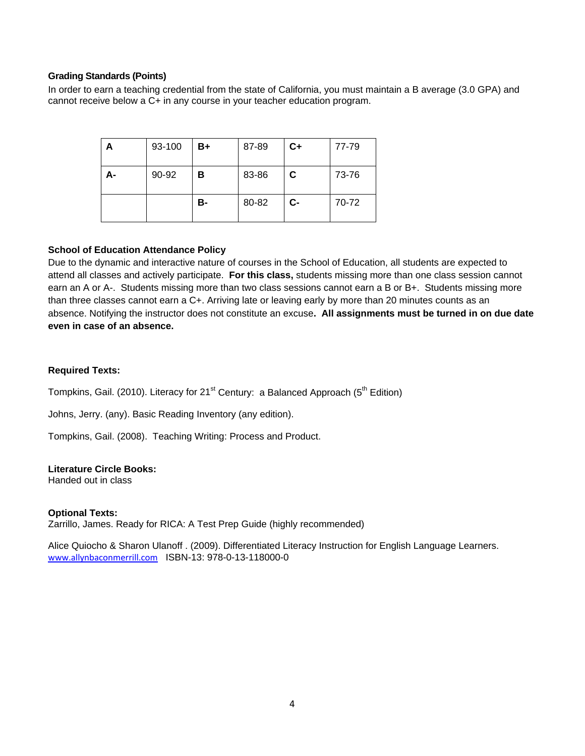#### **Grading Standards (Points)**

In order to earn a teaching credential from the state of California, you must maintain a B average (3.0 GPA) and cannot receive below a C+ in any course in your teacher education program.

| А  | 93-100 | B+        | 87-89 | $C+$ | 77-79 |
|----|--------|-----------|-------|------|-------|
| А- | 90-92  | в         | 83-86 | C    | 73-76 |
|    |        | <b>B-</b> | 80-82 | $C-$ | 70-72 |

#### **School of Education Attendance Policy**

Due to the dynamic and interactive nature of courses in the School of Education, all students are expected to attend all classes and actively participate. **For this class,** students missing more than one class session cannot earn an A or A-. Students missing more than two class sessions cannot earn a B or B+. Students missing more than three classes cannot earn a C+. Arriving late or leaving early by more than 20 minutes counts as an absence. Notifying the instructor does not constitute an excuse**. All assignments must be turned in on due date even in case of an absence.** 

### **Required Texts:**

Tompkins, Gail. (2010). Literacy for 21<sup>st</sup> Century: a Balanced Approach ( $5<sup>th</sup>$  Edition)

Johns, Jerry. (any). Basic Reading Inventory (any edition).

Tompkins, Gail. (2008). Teaching Writing: Process and Product.

#### **Literature Circle Books:**

Handed out in class

#### **Optional Texts:**

Zarrillo, James. Ready for RICA: A Test Prep Guide (highly recommended)

Alice Quiocho & Sharon Ulanoff . (2009). Differentiated Literacy Instruction for English Language Learners. www.allynbaconmerrill.com ISBN-13: 978-0-13-118000-0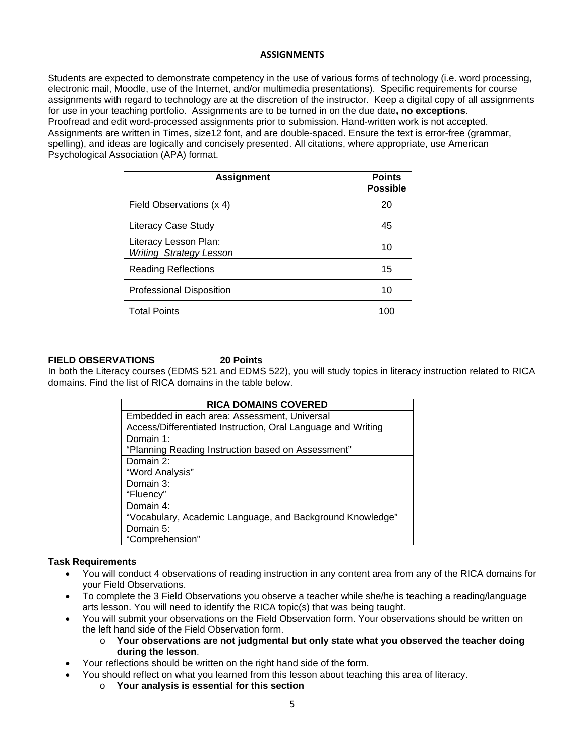#### **ASSIGNMENTS**

Students are expected to demonstrate competency in the use of various forms of technology (i.e. word processing, electronic mail, Moodle, use of the Internet, and/or multimedia presentations). Specific requirements for course assignments with regard to technology are at the discretion of the instructor. Keep a digital copy of all assignments for use in your teaching portfolio. Assignments are to be turned in on the due date**, no exceptions**. Proofread and edit word-processed assignments prior to submission. Hand-written work is not accepted. Assignments are written in Times, size12 font, and are double-spaced. Ensure the text is error-free (grammar, spelling), and ideas are logically and concisely presented. All citations, where appropriate, use American Psychological Association (APA) format.

| <b>Assignment</b>                                       | <b>Points</b><br><b>Possible</b> |
|---------------------------------------------------------|----------------------------------|
| Field Observations (x 4)                                | 20                               |
| <b>Literacy Case Study</b>                              | 45                               |
| Literacy Lesson Plan:<br><b>Writing Strategy Lesson</b> | 10                               |
| <b>Reading Reflections</b>                              | 15                               |
| <b>Professional Disposition</b>                         | 10                               |
| <b>Total Points</b>                                     | 100                              |

#### **FIELD OBSERVATIONS 20 Points**

In both the Literacy courses (EDMS 521 and EDMS 522), you will study topics in literacy instruction related to RICA domains. Find the list of RICA domains in the table below.

| <b>RICA DOMAINS COVERED</b>                                  |  |  |  |  |
|--------------------------------------------------------------|--|--|--|--|
| Embedded in each area: Assessment, Universal                 |  |  |  |  |
| Access/Differentiated Instruction, Oral Language and Writing |  |  |  |  |
| Domain 1:                                                    |  |  |  |  |
| "Planning Reading Instruction based on Assessment"           |  |  |  |  |
| Domain 2:                                                    |  |  |  |  |
| "Word Analysis"                                              |  |  |  |  |
| Domain 3:                                                    |  |  |  |  |
| "Fluency"                                                    |  |  |  |  |
| Domain 4:                                                    |  |  |  |  |
| "Vocabulary, Academic Language, and Background Knowledge"    |  |  |  |  |
| Domain 5:                                                    |  |  |  |  |
| "Comprehension"                                              |  |  |  |  |

#### **Task Requirements**

- You will conduct 4 observations of reading instruction in any content area from any of the RICA domains for your Field Observations.
- To complete the 3 Field Observations you observe a teacher while she/he is teaching a reading/language arts lesson. You will need to identify the RICA topic(s) that was being taught.
- You will submit your observations on the Field Observation form. Your observations should be written on the left hand side of the Field Observation form.
	- o **Your observations are not judgmental but only state what you observed the teacher doing during the lesson**.
- Your reflections should be written on the right hand side of the form.
	- You should reflect on what you learned from this lesson about teaching this area of literacy.
		- o **Your analysis is essential for this section**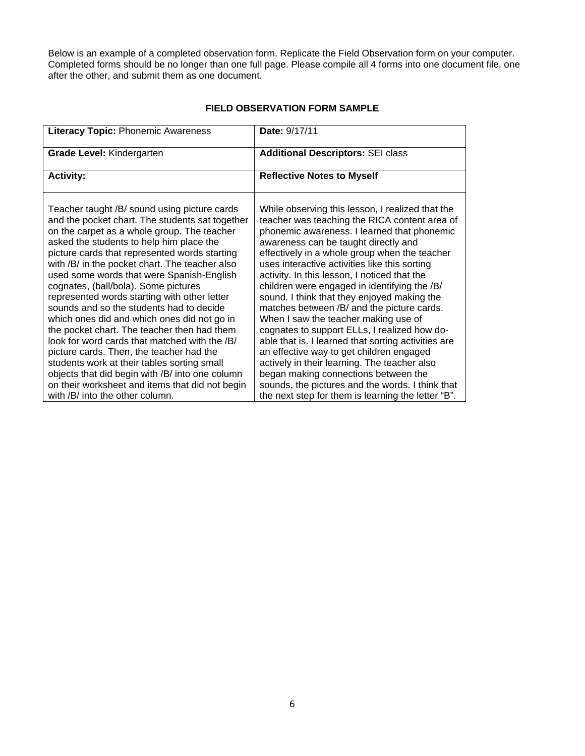Below is an example of a completed observation form. Replicate the Field Observation form on your computer. Completed forms should be no longer than one full page. Please compile all 4 forms into one document file, one after the other, and submit them as one document.

| <b>Literacy Topic: Phonemic Awareness</b>                                                                                                                                                                                                                                                                                                                                                                                                                                                                                                                                                                                                                                                                                                                                                                                                                         | Date: 9/17/11                                                                                                                                                                                                                                                                                                                                                                                                                                                                                                                                                                                                                                                                                                                                                                                                                                                                        |  |
|-------------------------------------------------------------------------------------------------------------------------------------------------------------------------------------------------------------------------------------------------------------------------------------------------------------------------------------------------------------------------------------------------------------------------------------------------------------------------------------------------------------------------------------------------------------------------------------------------------------------------------------------------------------------------------------------------------------------------------------------------------------------------------------------------------------------------------------------------------------------|--------------------------------------------------------------------------------------------------------------------------------------------------------------------------------------------------------------------------------------------------------------------------------------------------------------------------------------------------------------------------------------------------------------------------------------------------------------------------------------------------------------------------------------------------------------------------------------------------------------------------------------------------------------------------------------------------------------------------------------------------------------------------------------------------------------------------------------------------------------------------------------|--|
| <b>Grade Level: Kindergarten</b>                                                                                                                                                                                                                                                                                                                                                                                                                                                                                                                                                                                                                                                                                                                                                                                                                                  | <b>Additional Descriptors: SEI class</b>                                                                                                                                                                                                                                                                                                                                                                                                                                                                                                                                                                                                                                                                                                                                                                                                                                             |  |
| <b>Activity:</b>                                                                                                                                                                                                                                                                                                                                                                                                                                                                                                                                                                                                                                                                                                                                                                                                                                                  | <b>Reflective Notes to Myself</b>                                                                                                                                                                                                                                                                                                                                                                                                                                                                                                                                                                                                                                                                                                                                                                                                                                                    |  |
| Teacher taught /B/ sound using picture cards<br>and the pocket chart. The students sat together<br>on the carpet as a whole group. The teacher<br>asked the students to help him place the<br>picture cards that represented words starting<br>with /B/ in the pocket chart. The teacher also<br>used some words that were Spanish-English<br>cognates, (ball/bola). Some pictures<br>represented words starting with other letter<br>sounds and so the students had to decide<br>which ones did and which ones did not go in<br>the pocket chart. The teacher then had them<br>look for word cards that matched with the /B/<br>picture cards. Then, the teacher had the<br>students work at their tables sorting small<br>objects that did begin with /B/ into one column<br>on their worksheet and items that did not begin<br>with /B/ into the other column. | While observing this lesson, I realized that the<br>teacher was teaching the RICA content area of<br>phonemic awareness. I learned that phonemic<br>awareness can be taught directly and<br>effectively in a whole group when the teacher<br>uses interactive activities like this sorting<br>activity. In this lesson, I noticed that the<br>children were engaged in identifying the /B/<br>sound. I think that they enjoyed making the<br>matches between /B/ and the picture cards.<br>When I saw the teacher making use of<br>cognates to support ELLs, I realized how do-<br>able that is. I learned that sorting activities are<br>an effective way to get children engaged<br>actively in their learning. The teacher also<br>began making connections between the<br>sounds, the pictures and the words. I think that<br>the next step for them is learning the letter "B". |  |

## **FIELD OBSERVATION FORM SAMPLE**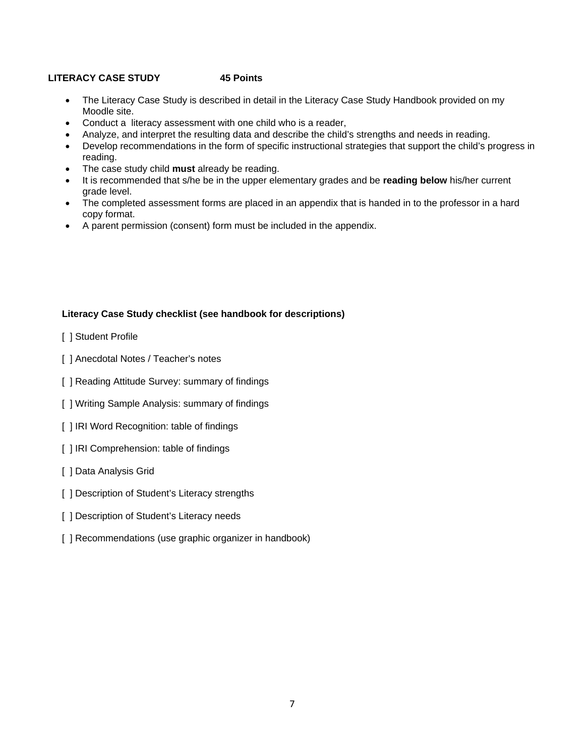## **LITERACY CASE STUDY 45 Points**

- The Literacy Case Study is described in detail in the Literacy Case Study Handbook provided on my Moodle site.
- Conduct a literacy assessment with one child who is a reader,
- Analyze, and interpret the resulting data and describe the child's strengths and needs in reading.
- Develop recommendations in the form of specific instructional strategies that support the child's progress in reading.
- The case study child **must** already be reading.
- It is recommended that s/he be in the upper elementary grades and be **reading below** his/her current grade level.
- The completed assessment forms are placed in an appendix that is handed in to the professor in a hard copy format.
- A parent permission (consent) form must be included in the appendix.

## **Literacy Case Study checklist (see handbook for descriptions)**

- [ ] Student Profile
- [ ] Anecdotal Notes / Teacher's notes
- [ ] Reading Attitude Survey: summary of findings
- [ ] Writing Sample Analysis: summary of findings
- [ ] IRI Word Recognition: table of findings
- [ ] IRI Comprehension: table of findings
- [ ] Data Analysis Grid
- [ ] Description of Student's Literacy strengths
- [ ] Description of Student's Literacy needs
- [ ] Recommendations (use graphic organizer in handbook)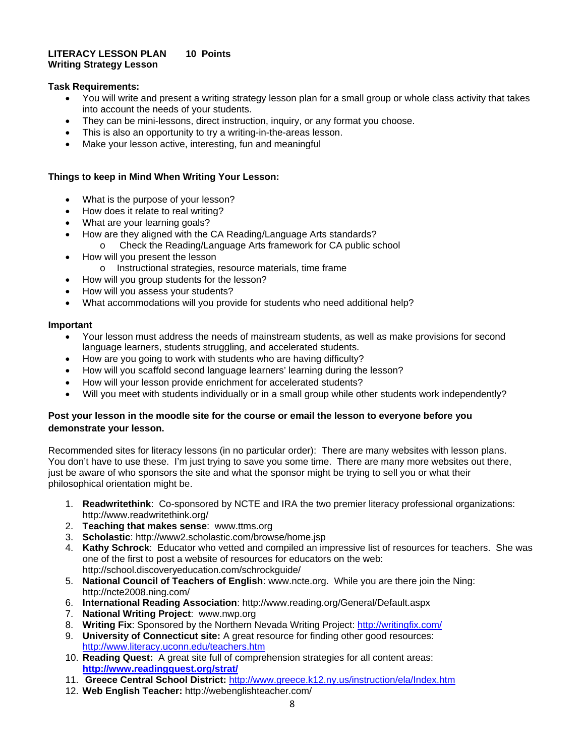#### **LITERACY LESSON PLAN 10 Points Writing Strategy Lesson**

## **Task Requirements:**

- You will write and present a writing strategy lesson plan for a small group or whole class activity that takes into account the needs of your students.
- They can be mini-lessons, direct instruction, inquiry, or any format you choose.
- This is also an opportunity to try a writing-in-the-areas lesson.
- Make your lesson active, interesting, fun and meaningful

## **Things to keep in Mind When Writing Your Lesson:**

- What is the purpose of your lesson?
- How does it relate to real writing?
- What are your learning goals?
- How are they aligned with the CA Reading/Language Arts standards?
	- o Check the Reading/Language Arts framework for CA public school
- How will you present the lesson
	- o Instructional strategies, resource materials, time frame
- How will you group students for the lesson?
- How will you assess your students?
- What accommodations will you provide for students who need additional help?

## **Important**

- Your lesson must address the needs of mainstream students, as well as make provisions for second language learners, students struggling, and accelerated students.
- How are you going to work with students who are having difficulty?
- How will you scaffold second language learners' learning during the lesson?
- How will your lesson provide enrichment for accelerated students?
- Will you meet with students individually or in a small group while other students work independently?

## **Post your lesson in the moodle site for the course or email the lesson to everyone before you demonstrate your lesson.**

Recommended sites for literacy lessons (in no particular order): There are many websites with lesson plans. You don't have to use these. I'm just trying to save you some time. There are many more websites out there, just be aware of who sponsors the site and what the sponsor might be trying to sell you or what their philosophical orientation might be.

- 1. **Readwritethink**: Co-sponsored by NCTE and IRA the two premier literacy professional organizations: http://www.readwritethink.org/
- 2. **Teaching that makes sense**: www.ttms.org
- 3. **Scholastic**: http://www2.scholastic.com/browse/home.jsp
- 4. **Kathy Schrock**: Educator who vetted and compiled an impressive list of resources for teachers. She was one of the first to post a website of resources for educators on the web: http://school.discoveryeducation.com/schrockguide/
- 5. **National Council of Teachers of English**: www.ncte.org. While you are there join the Ning: http://ncte2008.ning.com/
- 6. **International Reading Association**: http://www.reading.org/General/Default.aspx
- 7. **National Writing Project**: www.nwp.org
- 8. **Writing Fix**: Sponsored by the Northern Nevada Writing Project: http://writingfix.com/
- 9. **University of Connecticut site:** A great resource for finding other good resources: http://www.literacy.uconn.edu/teachers.htm
- 10. **Reading Quest:** A great site full of comprehension strategies for all content areas: **http://www.readingquest.org/strat/**
- 11. **Greece Central School District:** http://www.greece.k12.ny.us/instruction/ela/Index.htm
- 12. **Web English Teacher:** http://webenglishteacher.com/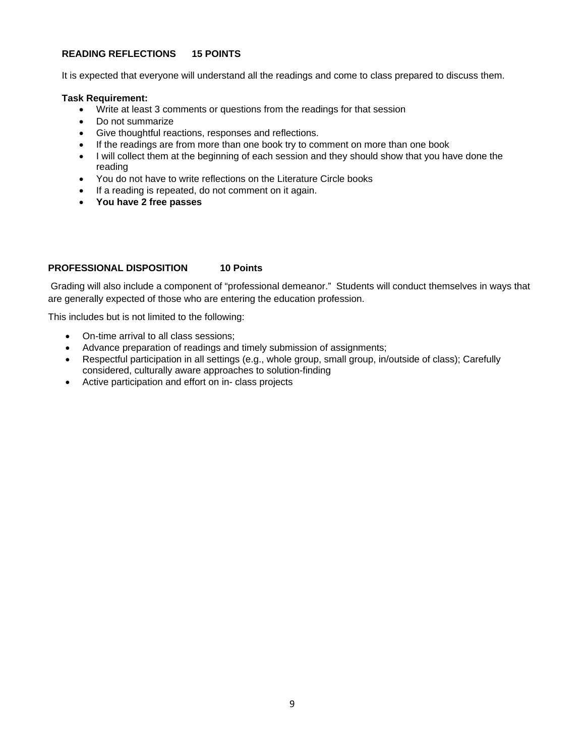### **READING REFLECTIONS 15 POINTS**

It is expected that everyone will understand all the readings and come to class prepared to discuss them.

#### **Task Requirement:**

- Write at least 3 comments or questions from the readings for that session
- Do not summarize
- Give thoughtful reactions, responses and reflections.
- If the readings are from more than one book try to comment on more than one book
- I will collect them at the beginning of each session and they should show that you have done the reading
- You do not have to write reflections on the Literature Circle books
- If a reading is repeated, do not comment on it again.
- **You have 2 free passes**

## **PROFESSIONAL DISPOSITION 10 Points**

 Grading will also include a component of "professional demeanor." Students will conduct themselves in ways that are generally expected of those who are entering the education profession.

This includes but is not limited to the following:

- On-time arrival to all class sessions;
- Advance preparation of readings and timely submission of assignments;
- Respectful participation in all settings (e.g., whole group, small group, in/outside of class); Carefully considered, culturally aware approaches to solution-finding
- Active participation and effort on in- class projects